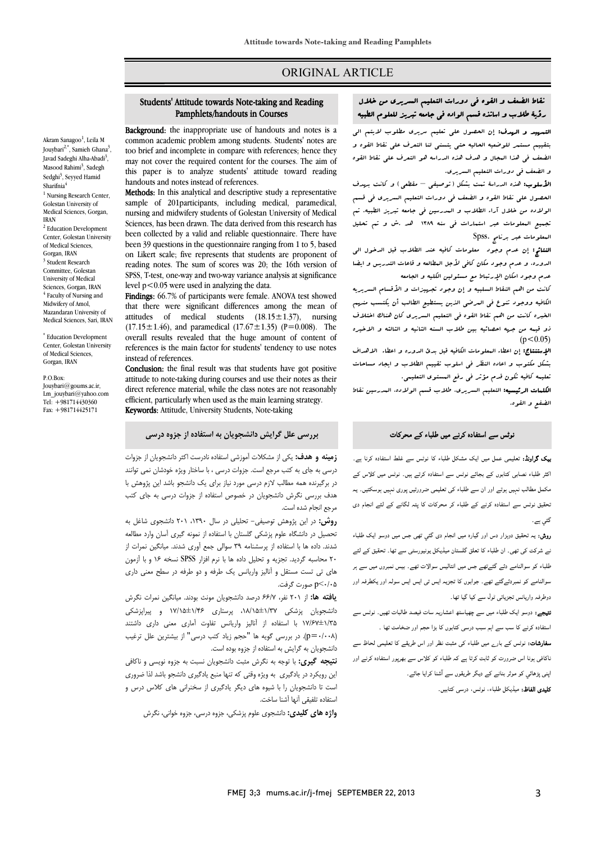## ORIGINAL ARTICLE

#### Pamphlets/handouts in CoursesStudents' Attitude towards Note-taking and Reading

Ī 

**Background:** the inappropriate use of handouts and notes is a **EXAMPLE COMMONS** and notes is a common academic problem among students. Students' notes are too brief and incomplete in compare with references; hence they may not cover the required content for the courses. The aim of this paper is to analyze students' attitude toward reading handouts and notes instead of references.

 Methods: In this analytical and descriptive study a representative nursing and midwifery students of Golestan University of Medical Sciences, has been drawn. The data derived from this research has been collected by a valid and reliable questionnaire. There have on Likert scale; five represents that students are proponent of reading notes. The sum of scores was 20; the 16th version of level p<0.05 were used in analyzing the data. sample of 201participants, including medical, paramedical, been 39 questions in the questionnaire ranging from 1 to 5, based SPSS, T-test, one-way and two-way variance analysis at significance

Findings: 66.7% of participants were female. ANOVA test showed attitudes of medical students (18.15±1.37), nursing  $(17.15 \pm 1.46)$ , and paramedical  $(17.67 \pm 1.35)$  (P=0.008). The overall results revealed that the huge amount of content of references is the main factor for students' tendency to use notes<br>instead of references. that there were significant differences among the mean of instead of references.

Conclusion: the final result was that students have got positive atutude to note-taking during courses and use their notes as their<br>direct reference material, while the class notes are not reasonably efficient, particularly when used as the main learning strategy. Keywords: Attitude, University Students, Note-taking attitude to note-taking during courses and use their notes as their

## $\overline{a}$ **بررسی علل گرایش دانشجویان به استفاده از جزوه درسی**

 **زمینه و هدف:** یکی از مشکلات آموزشی استفاده نادرست اکثر دانشجویان از جزوات درسی به جاي به کتب مرجع است. جزوات درسی ، با ساختار ویژه خودشان نمی توانند در برگیرنده همه مطالب لازم درسی مورد نیاز براي یک دانشجو باشد این پژوهش با هدف بررسی نگرش دانشجویان در خصوص استفاده از جزوات درسی به جاي کتب مرجع انجام شده است.

<sub>مرجع ا</sub>ربم <sub>سد</sub>.<br>**روش:** در این پژوهش توصیفی- تحلیلی در سال ۱۳۹۰، ۲۰۱ دانشجوی شاغل به تحصیل در دانشگاه علوم پزشکی گلستان با استفاده از نمونه گیري آسان وارد مطالعه شدند. داده ها با استفاده از پرسشنامه 39 سوالی جمع آوري شدند. میانگین نمرات از 20 محاسبه گردید. تجزیه و تحلیل داده ها با نرم افزار SPSS نسخه 16 و با آزمون هاي تی تست مستقل و آنالیز واریانس یک طرفه و دو طرفه در سطح معنی داري 0/05>p صورت گرفت.

 **یافته ها:** از 201 نفر، 66/7 درصد دانشجویان مونث بودند. میانگین نمرات نگرش ۱۳ستجویان پرسدی ۱۳۱۳–۱۳۸۰ پرستاری ۱۳/۲–۱۳/۵۰ و پیراپرسدی<br>۱۳۵×±۱۷/۶۷ با استفاده از آنالیز واریانس تفاوت آماری معنی داری داشتند (0/008=p(. در بررسی گویه ها "حجم زیاد کتب درسی" از بیشترین علل ترغیب .<br>دانشجویان به گرایش به استفاده از جزوه بوده است. دانشجویان پزشکی ،18/15±1/37 پرستاري 17/15±1/46 و پیراپزشکی

 **نتیجه گیري:** با توجه به نگرش مثبت دانشجویان نسبت به جزوه نویسی و ناکافی این رویکرد در یادگیري به ویژه وقتی که تنها منبع یادگیري دانشجو باشد لذا ضروري است تا دانشجویان را با شیوه هاي دیگر یادگیري از سخنرانی هاي کلاس درس و استفاده تلفیقی آنها آشنا ساخت.

**واژه هاي کلیدي:** دانشجوي علوم پزشکی، جزوه درسی، جزوه خوانی، نگرش

## j نقاط الضعف و القوه فی دورات التعلیم السریری من خلال<br>مقصدان مستقلین من تقسیم من خلال من منصوب من التعلیم العام رؤیۀ طلاب و اساتذه قسم الواده فی جامعه تبریز للعلوم الطبیه

Ī ֦

ا**لتسهید و الهدف:** إن الحصول علی تعلیم سریری مطلوب لایتم الی<br>. بتنبینم مستنمر نتوشتیه المبانیه ملتی یسسی منا التعرف علی خاط القوه و<br>لضعف فی هذا البجال و هدف هذه الدراسه هو التعرف علی نقاط القوه و الضعف فی دورات التعلیم السریري. بتقییم مستمر للوضعیه الحالیه حتی یتسنی لنا التعرف علی نقاط القوه و

 الأسلوب: هذه الدراسۀ تمت بشکل (توصیفی – مقطعی) و کانت بهدف الحصول علی نقاط القوه و الضعف فی دورات التعلیم السریري فی قسم الولاده من خلال آراء الطلاب و المدرسین فی جامعه تبریز الطبیه. تم تجمیع المعلومات عبر استمارات فی سنه 1389 هد .ش و تم تحلیل المعلومات عبر برنامج .Spss

 النتائج: إن عدم وجود معلومات کافیه عند الطلاب قبل الدخول الی الدوره، و عدم وجود مکان کافی لأجل المطالعه و قاعات التدریس و ایضا عدم وجود امکان الإرتباط مع مستولین الکلیه و الجامعه<br>در

 الکافیه ووجود تنوع فی المرضی الذین یستطیع الطالب أن یکتسب منهم الخبره کانت من اهم نقاط القوه فی التعلیم السریري کان هناك اختلاف ذو قیمه من جهه احصائیه بین طلاب السنه الثانیه و الثالثه و الاخیره کانت من اهم النقاط السلبیه و إن وجود تجهیزات و الأقسام السریریه  $(p<0.05)$ 

ا**لإستنتاج:** إن اعطاء البعلومات الکافیه قبل بدئ الدوره و اعطاء الاهداف<br>. بشکل مکتوب و اعاده النظر فی اسلوب تقییم الطلاب و ایجاد مساحات تعلیمه کافیه تکون قدم مؤثر فی رفع المستوي التعلیمی.

Ĩ. ا**لکلمات الرئیسیه:** التعلیم السریری، طلاب قسم الولاده، المدرسین نقاط<br>اخفر مسالق الضفع و القوه.

# ۔<br>نوٹس سے استفادہ کرنے میں طلباء کے محرکات<br>۔

**یک گراونڈ:** تعلیمی عمل میں ایک مشکل طلباء کا نوٹس سے غلط استفادہ کرنا ہے۔ ۔<br>کثر طلباء نصابی کتابوں کے بجائے نوٹس سے استفادہ کرتے ہیں۔ نوٹس میں کلاس کے ۔<br>مکمل مطالب نہیں ہوتے اور ان سے طلباء کی تعلیمی ضرورتیں پوری نہیں ہوسکتیں۔ یہ ۔<br>نحقیق نوٹس سے استفادہ کرنے کے طلباء کر محرکات کا پتہ لگانے کے لئے انجام دی گئی ہے۔

= ·-<br>**روش:** یہ تحقیق دوہزار دس اور گیارہ میں انجام دی گئی تھی جس میں دوسو ایک طلباء یت فتحت است کی برابر میں اس کا دور ان کے سامنا کر سکتے ہیں کہ ان کے سامنے کے ان کے دور ان کے دور ان کے دور ان<br>نے شرکت کی تھی۔ ان طلباء کا تعلق گلستان میڈیکل یونیورسٹی سے تھا۔ تحقیق کے لئے ء ا د ا ات ۔ وں سوالنامے کو نمبردئےگئے تھے۔ جوابوں کا تجزیہ ایس تی ایس ایس سولہ اور یکطرفہ اور<br>۔ دوطرفہ واریانس تجزیاتی ٹول سے کیا گیا تھا۔<br>۔

**تیجے:** دوسو ایک طلباء میں سے چھیاسٹھ اعشاریہ سات فیصد طالبات تھیں۔ نوٹس سے<br>۔ ستفادہ کرنے کا سب سے اہم سبب درسی کتابوں کا بڑا حجم اور ضخامت تھا ۔

**سفارشات:** نوٹس کے بار<sub>ے</sub> میں طلباء کی مثبت نظر اور اس طریقے کا تعلیمی لحاظ سے<br>۔ اکافی ہونا اس ضرورت کو ثابت کرتا ہے کہ طلباء کو کلاس سے بھرپور استفادہ کرنے اور پنی پڑھائي کو موثر بنانے کے دیگر طریقوں سے آشنا کرایا جائے۔ **کلیدی الفاظ:** میڈیکل طلباء، نوٹس، درسی کتابیں۔

Akram Sanagoo<sup>1</sup>, Leila M Jouybari<sup>2,\*</sup>, Samieh Ghana<sup>3</sup>, Javad Sadeghi Alha-Abadi<sup>3</sup>, Masood Rahimi<sup>3</sup>, Sadegh Sedghi<sup>3</sup>, Seyyed Hamid Sharifnia<sup>4</sup>

<sup>1</sup> Nursing Research Center, Golestan University of Medical Sciences, Gorgan, IRAN

<sup>2</sup> Education Development Center, Golestan University of Medical Sciences, Gorgan, IRAN <sup>3</sup> Student Research Committee, Golestan University of Medical Sciences, Gorgan, IRAN <sup>4</sup> Faculty of Nursing and Midwifery of Amol, Mazandaran University of Medical Sciences, Sari, IRAN

\* Education Development Center, Golestan University of Medical Sciences, Gorgan, IRAN

#### P.O.Box:

Jouybari@goums.ac.ir, Lm\_jouybari@yahoo.com Tel: +981714430360 Fax: +981714425171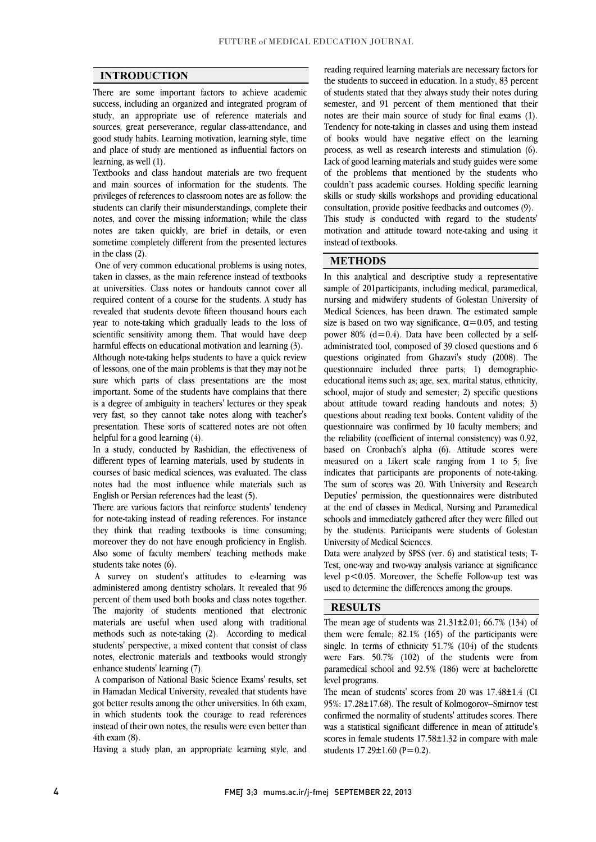$\overline{a}$  $\overline{a}$ 

### **INTRODUCTION**

 There are some important factors to achieve academic success, including an organized and integrated program of study, an appropriate use of reference materials and<br>sources, great perseverance, regular class-attendance, and good study habits. Learning motivation, learning style, time and place of study are mentioned as influential factors on study, an appropriate use of reference materials and learning, as well (1).

 Textbooks and class handout materials are two frequent and main sources of information for the students. The privileges of references to classroom notes are as follow: the students can clarify their misunderstandings, complete their notes, and cover the missing information; while the class sometime completely different from the presented lectures notes are taken quickly, are brief in details, or even in the class (2).

 One of very common educational problems is using notes, taken in classes, as the main reference instead of textbooks required content of a course for the students. A study has revealed that students devote fifteen thousand hours each year to note-taking which gradually leads to the loss of harmful effects on educational motivation and learning (3). at universities. Class notes or handouts cannot cover all scientific sensitivity among them. That would have deep

 Although note-taking helps students to have a quick review of lessons, one of the main problems is that they may not be sure which parts of class presentations are the most important. Some of the students have complains that there is a degree of ambiguity in teachers' lectures or they speak very fast, so they cannot take notes along with teacher's presentation. These sorts of scattered notes are not often important. Some of the students have complains that there helpful for a good learning (4).

heiptui tor a good learning (4).<br>In a study, conducted by Rashidian, the effectiveness of different types of learning materials, used by students in courses of basic medical sciences, was evaluated. The class notes had the most influence while materials such as English or Persian references had the least (5).

engusn or rersian reierences nad the least (כ).<br>There are various factors that reinforce students' tendency for note-taking instead of reading references. For instance they think that reading textbooks is time consuming; moreover they do not have enough proficiency in English. Also some of faculty members' teaching methods make students take notes (6).

 A survey on student's attitudes to e-learning was administered among dentistry scholars. It revealed that 96 percent of them used both books and class notes together. materials are useful when used along with traditional methods such as note-taking (2). According to medical students' perspective, a mixed content that consist of class notes, electronic materials and textbooks would strongly The majority of students mentioned that electronic enhance students' learning (7).

 A comparison of National Basic Science Exams' results, set in Hamadan Medical University, revealed that students have got better results among the other universities. In 6th exam, in which students took the courage to read references instead of their own notes, the results were even better than  $(4)$  h evan  $(8)$ 4th exam (8).

Having a study plan, an appropriate learning style, and

 the students to succeed in education. In a study, 83 percent of students stated that they always study their notes during semester, and 91 percent of them mentioned that their Tendency for note-taking in classes and using them instead of books would have negative effect on the learning process, as well as research interests and stimulation (6). Lack of good learning materials and study guides were some<br>of the conditions that magnitude the disc attribute when couldn't pass academic courses. Holding specific learning skills or study skills workshops and providing educational consultation, provide positive feedbacks and outcomes (9). motivation and attitude toward note-taking and using it reading required learning materials are necessary factors for notes are their main source of study for final exams (1). of the problems that mentioned by the students who This study is conducted with regard to the students' instead of textbooks.

 $\overline{a}$ 

ֺ֖֚֝֬

### **METHODS**

 $\overline{a}$  sample of 201participants, including medical, paramedical, nursing and midwifery students of Golestan University of Medical Sciences, has been drawn. The estimated sample size is based on two way significance,  $\alpha$  = 0.05, and testing  $a$ dministrated tool, composed of 39 closed questions and 6 questions originated from Ghazavi's study (2008). The questionnaire included three parts; 1) demographic- educational items such as; age, sex, marital status, ethnicity, about attitude toward reading handouts and notes;  $3$ ) questions about reading text books. Content validity of the questionnaire was confirmed by 10 faculty members; and the reliability (coefficient of internal consistency) was  $0.92$ , measured on a Likert scale ranging from 1 to 5; five indicates that participants are proponents of note-taking. The sum of scores was 20. With University and Research Deputies' permission, the questionnaires were distributed schools and immediately gathered after they were filled out by the students. Participants were students of Golestan  $\overline{a}$ In this analytical and descriptive study a representative power 80%  $(d=0.4)$ . Data have been collected by a selfschool, major of study and semester; 2) specific questions based on Cronbach's alpha (6). Attitude scores were at the end of classes in Medical, Nursing and Paramedical University of Medical Sciences.

 Test, one-way and two-way analysis variance at significance level p<0.05. Moreover, the Scheffe Follow-up test was Data were analyzed by SPSS (ver. 6) and statistical tests; Tused to determine the differences among the groups.

#### **RESULTS**

The mean age of students was  $21.31\pm2.01$ ; 66.7% (134) of them were female; 82.1% (165) of the participants were single. In terms of ethnicity 51.7% (104) of the students were Fars. 50.7% (102) of the students were from paramedical school and 92.5% (186) were at bachelorette level programs.

The mean of students' scores from 20 was 17.48±1.4 (CI 95%: 17.28±17.68). The result of Kolmogorov–Smirnov test confirmed the normality of students' attitudes scores. There was a statistical signment difference in mean of attitude s scores in female students  $17.58\pm1.32$  in compare with male was a statistical significant difference in mean of attitude's students  $17.29 \pm 1.60$  (P=0.2).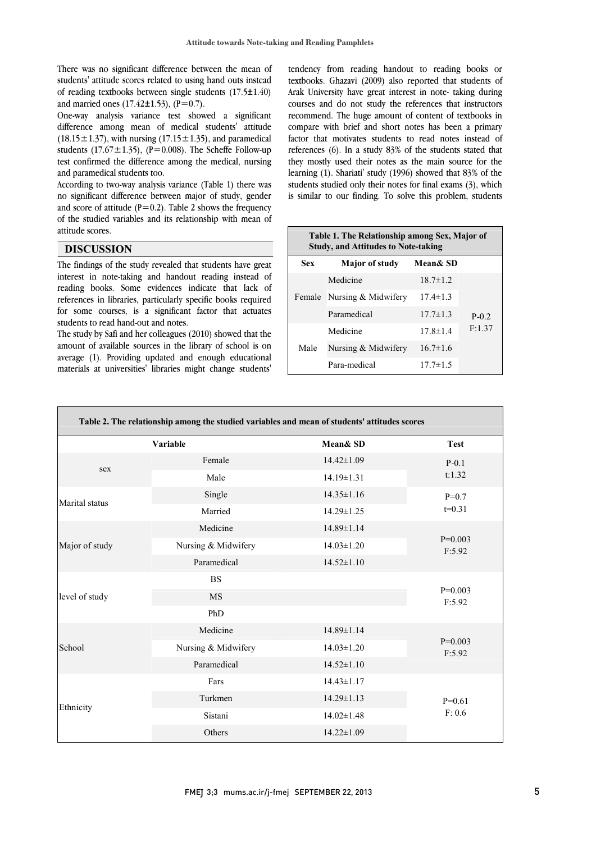$\overline{a}$ 

 There was no significant difference between the mean of students' attitude scores related to using hand outs instead of reading textbooks between single students (17.5±1.40) and married ones  $(17.42 \pm 1.53)$ ,  $(P=0.7)$ .

and married ones (1/.42±1.55), (P=0./).<br>One-way analysis variance test showed a significant difference among mean of medical students' attitude (18.15 $\pm$ 1.37), with nursing (17.15 $\pm$ 1.35), and paramedical students  $(17.67 \pm 1.35)$ ,  $(P=0.008)$ . The Scheffe Follow-up test confirmed the difference among the medical, nursing and paramedical students too.

 According to two-way analysis variance (Table 1) there was no significant difference between major of study, gender and score of attitude ( $P=0.2$ ). Table 2 shows the frequency of the studied variables and its relationship with mean of l, attitude scores.

### **DISCUSSION**

 The findings of the study revealed that students have great interest in note-taking and handout reading instead of references in libraries, particularly specific books required for some courses, is a significant factor that actuates reading books. Some evidences indicate that lack of students to read hand-out and notes.

amount of available sources in the library of school is on average (1). Providing updated and enough educational materials at universities' libraries might change students' The study by Safi and her colleagues (2010) showed that the

 tendency from reading handout to reading books or textbooks. Ghazavi (2009) also reported that students of Arak University have great interest in note- taking during courses and do not study the references that instructors compare with brief and short notes has been a primary references (6). In a study 83% of the students stated that they mostly used their notes as the main source for the<br>decay is a shorteril that the case of the source of the studients studied only their notes for final exams  $(3)$ , which is similar to our finding. To solve this problem, students recommend. The huge amount of content of textbooks in factor that motivates students to read notes instead of learning (1). Shariati' study (1996) showed that 83% of the

| Table 1. The Relationship among Sex, Major of<br><b>Study, and Attitudes to Note-taking</b> |                       |                |                    |  |
|---------------------------------------------------------------------------------------------|-----------------------|----------------|--------------------|--|
| <b>Sex</b>                                                                                  | <b>Major of study</b> | Mean& SD       |                    |  |
| Female                                                                                      | Medicine              | $18.7 \pm 1.2$ | $P - 0.2$<br>F:137 |  |
|                                                                                             | Nursing & Midwifery   | $17.4 \pm 1.3$ |                    |  |
|                                                                                             | Paramedical           | $17.7 \pm 1.3$ |                    |  |
| Male                                                                                        | Medicine              | $17.8 \pm 1.4$ |                    |  |
|                                                                                             | Nursing & Midwifery   | $16.7 \pm 1.6$ |                    |  |
|                                                                                             | Para-medical          | $17.7 \pm 1.5$ |                    |  |

|                | Variable            | Mean& SD         | <b>Test</b>         |
|----------------|---------------------|------------------|---------------------|
|                | Female              | $14.42 \pm 1.09$ | $P - 0.1$<br>t:1.32 |
| sex            | Male                | $14.19 \pm 1.31$ |                     |
|                | Single              | $14.35 \pm 1.16$ | $P=0.7$<br>$t=0.31$ |
| Marital status | Married             | $14.29 \pm 1.25$ |                     |
|                | Medicine            | 14.89±1.14       | $P=0.003$<br>F:5.92 |
| Major of study | Nursing & Midwifery | $14.03 \pm 1.20$ |                     |
|                | Paramedical         | $14.52 \pm 1.10$ |                     |
|                | <b>BS</b>           |                  |                     |
| level of study | <b>MS</b>           |                  | $P=0.003$<br>F:5.92 |
|                | PhD                 |                  |                     |
|                | Medicine            | 14.89±1.14       | $P=0.003$<br>F:5.92 |
| School         | Nursing & Midwifery | $14.03 \pm 1.20$ |                     |
|                | Paramedical         | $14.52 \pm 1.10$ |                     |
|                | Fars                | $14.43 \pm 1.17$ | $P=0.61$<br>F: 0.6  |
|                | Turkmen             | $14.29 \pm 1.13$ |                     |
| Ethnicity      | Sistani             | $14.02 \pm 1.48$ |                     |
|                | Others              | $14.22 \pm 1.09$ |                     |